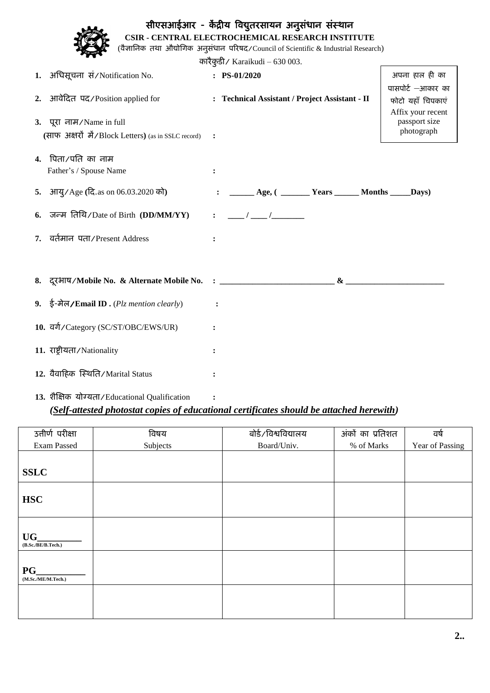| सीएसआईआर - केंद्रीय विद्युतरसायन अनुसंधान संस्थान<br>CSIR - CENTRAL ELECTROCHEMICAL RESEARCH INSTITUTE<br>(वैज्ञानिक तथा औद्योगिक अनुसंधान परिषद/Council of Scientific & Industrial Research) |                                                                      |  |                                                       |                                                             |  |  |  |
|-----------------------------------------------------------------------------------------------------------------------------------------------------------------------------------------------|----------------------------------------------------------------------|--|-------------------------------------------------------|-------------------------------------------------------------|--|--|--|
| कारैकुडी / Karaikudi $-630003$ .                                                                                                                                                              |                                                                      |  |                                                       |                                                             |  |  |  |
|                                                                                                                                                                                               | 1. अधिसूचना सं/Notification No.                                      |  | $: PS-01/2020$                                        | अपना हाल ही का                                              |  |  |  |
|                                                                                                                                                                                               | आवेदित पद/Position applied for                                       |  | : Technical Assistant / Project Assistant - II        | पासपोर्ट -आकार का<br>फोटो यहाँ चिपकाएं<br>Affix your recent |  |  |  |
| 3. पूरा नाम/Name in full                                                                                                                                                                      |                                                                      |  |                                                       | passport size                                               |  |  |  |
|                                                                                                                                                                                               | (साफ अक्षरों में/Block Letters) (as in SSLC record)                  |  |                                                       | photograph                                                  |  |  |  |
|                                                                                                                                                                                               | 4. पिता/पति का नाम<br>Father's / Spouse Name                         |  |                                                       |                                                             |  |  |  |
|                                                                                                                                                                                               | 5. आयु/Age (दि.as on 06.03.2020 को)                                  |  | ______ Age, ( _______ Years ______ Months _____ Days) |                                                             |  |  |  |
|                                                                                                                                                                                               | 6. जन्म तिथि/Date of Birth (DD/MM/YY)<br>वर्तमान पता/Present Address |  | $\sqrt{2}$                                            |                                                             |  |  |  |
|                                                                                                                                                                                               |                                                                      |  |                                                       |                                                             |  |  |  |
|                                                                                                                                                                                               |                                                                      |  |                                                       |                                                             |  |  |  |
|                                                                                                                                                                                               |                                                                      |  | $\mathbf{\&}$                                         |                                                             |  |  |  |
|                                                                                                                                                                                               | 9. ई-मेल/Email ID. $(Plz$ mention clearly)                           |  |                                                       |                                                             |  |  |  |
|                                                                                                                                                                                               | 10. वर्ग/Category (SC/ST/OBC/EWS/UR)                                 |  |                                                       |                                                             |  |  |  |
|                                                                                                                                                                                               | 11. राष्ट्रीयता/Nationality                                          |  |                                                       |                                                             |  |  |  |
|                                                                                                                                                                                               | 12. वैवाहिक स्थिति/Marital Status                                    |  |                                                       |                                                             |  |  |  |
|                                                                                                                                                                                               | 13. शैक्षिक योग्यता/Educational Qualification                        |  |                                                       |                                                             |  |  |  |

## *(Self-attested photostat copies of educational certificates should be attached herewith)*

| उत्तीर्ण परीक्षा            | विषय     | बोर्ड/विश्वविद्यालय | अंकों का प्रतिशत | वर्ष            |
|-----------------------------|----------|---------------------|------------------|-----------------|
| Exam Passed                 | Subjects | Board/Univ.         | % of Marks       | Year of Passing |
|                             |          |                     |                  |                 |
| <b>SSLC</b>                 |          |                     |                  |                 |
| <b>HSC</b>                  |          |                     |                  |                 |
| UG<br>(B.Sc./BE/B.Tech.)    |          |                     |                  |                 |
| $PG_$<br>(M.Sc./ME/M.Tech.) |          |                     |                  |                 |
|                             |          |                     |                  |                 |